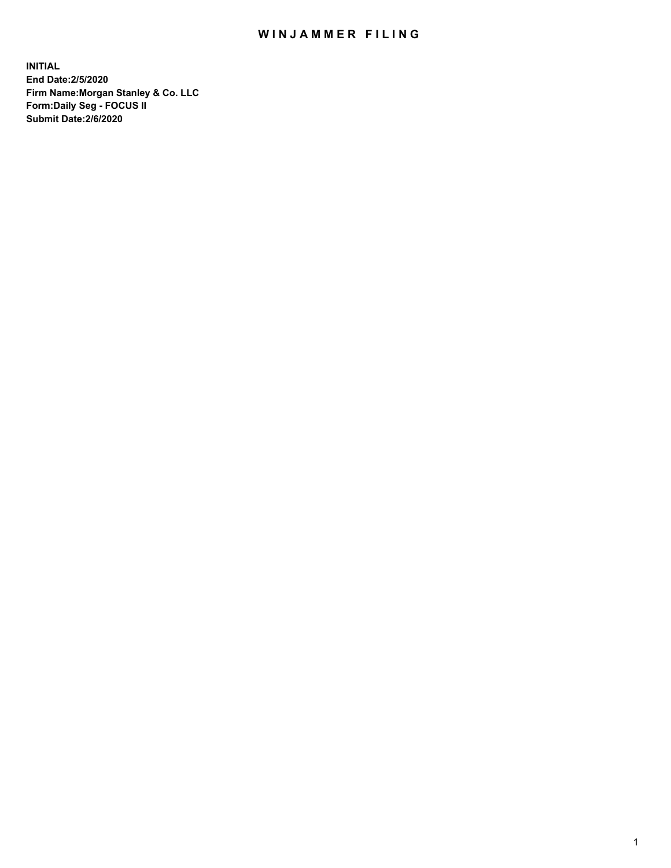## WIN JAMMER FILING

**INITIAL End Date:2/5/2020 Firm Name:Morgan Stanley & Co. LLC Form:Daily Seg - FOCUS II Submit Date:2/6/2020**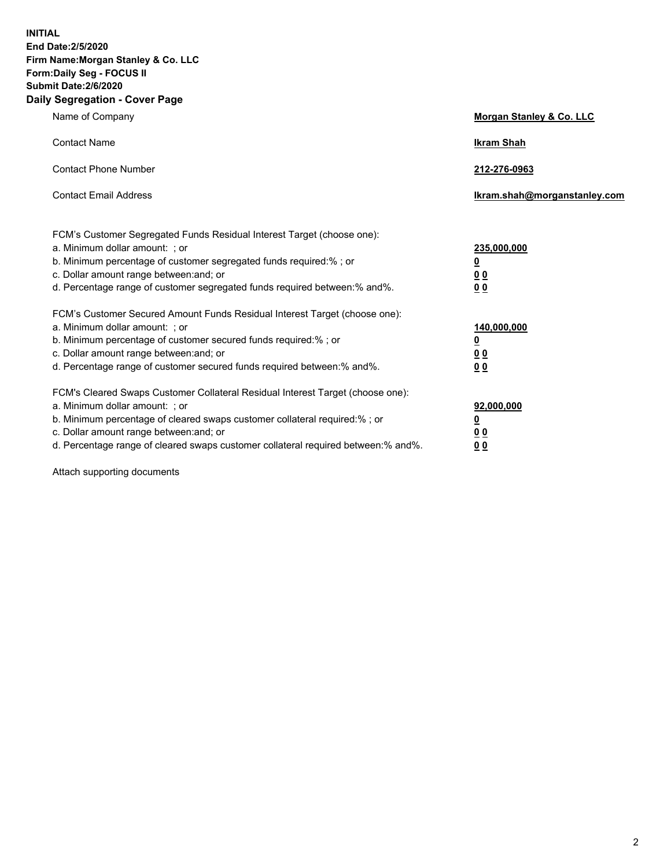**INITIAL End Date:2/5/2020 Firm Name:Morgan Stanley & Co. LLC Form:Daily Seg - FOCUS II Submit Date:2/6/2020 Daily Segregation - Cover Page**

| Name of Company                                                                                                                                                                                                                                                                                                                | Morgan Stanley & Co. LLC                                    |
|--------------------------------------------------------------------------------------------------------------------------------------------------------------------------------------------------------------------------------------------------------------------------------------------------------------------------------|-------------------------------------------------------------|
| <b>Contact Name</b>                                                                                                                                                                                                                                                                                                            | <b>Ikram Shah</b>                                           |
| <b>Contact Phone Number</b>                                                                                                                                                                                                                                                                                                    | 212-276-0963                                                |
| <b>Contact Email Address</b>                                                                                                                                                                                                                                                                                                   | Ikram.shah@morganstanley.com                                |
| FCM's Customer Segregated Funds Residual Interest Target (choose one):<br>a. Minimum dollar amount: ; or<br>b. Minimum percentage of customer segregated funds required:% ; or<br>c. Dollar amount range between: and; or<br>d. Percentage range of customer segregated funds required between:% and%.                         | 235,000,000<br><u>0</u><br>0 <sub>0</sub><br>00             |
| FCM's Customer Secured Amount Funds Residual Interest Target (choose one):<br>a. Minimum dollar amount: ; or<br>b. Minimum percentage of customer secured funds required:% ; or<br>c. Dollar amount range between: and; or<br>d. Percentage range of customer secured funds required between:% and%.                           | 140,000,000<br><u>0</u><br>0 <sub>0</sub><br>0 <sub>0</sub> |
| FCM's Cleared Swaps Customer Collateral Residual Interest Target (choose one):<br>a. Minimum dollar amount: ; or<br>b. Minimum percentage of cleared swaps customer collateral required:% ; or<br>c. Dollar amount range between: and; or<br>d. Percentage range of cleared swaps customer collateral required between:% and%. | 92,000,000<br><u>0</u><br>0 Q<br>0 <sub>0</sub>             |

Attach supporting documents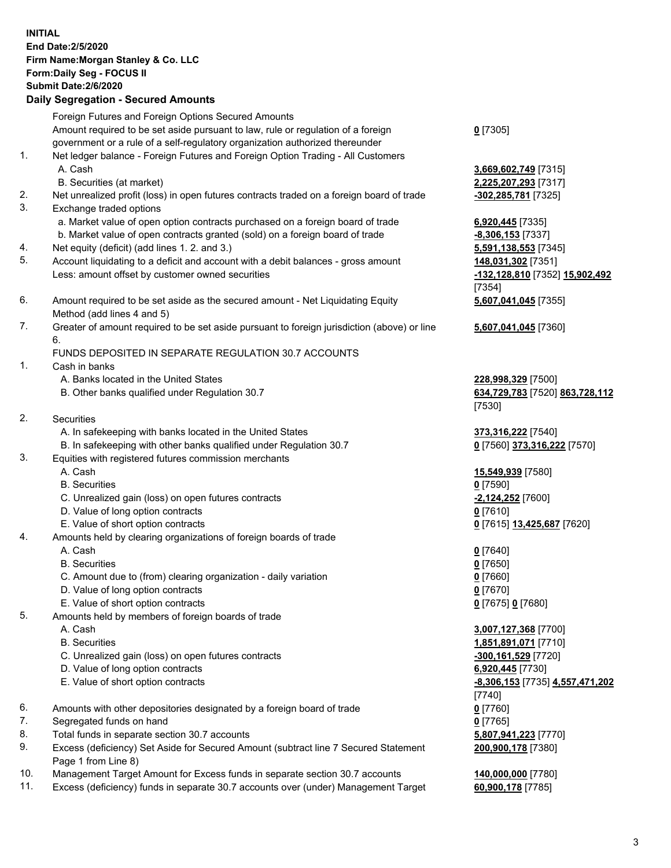| <b>INITIAL</b> | End Date: 2/5/2020<br>Firm Name: Morgan Stanley & Co. LLC<br>Form: Daily Seg - FOCUS II<br><b>Submit Date: 2/6/2020</b><br><b>Daily Segregation - Secured Amounts</b> |                                                                  |
|----------------|-----------------------------------------------------------------------------------------------------------------------------------------------------------------------|------------------------------------------------------------------|
|                | Foreign Futures and Foreign Options Secured Amounts                                                                                                                   |                                                                  |
|                | Amount required to be set aside pursuant to law, rule or regulation of a foreign<br>government or a rule of a self-regulatory organization authorized thereunder      | $0$ [7305]                                                       |
| 1.             | Net ledger balance - Foreign Futures and Foreign Option Trading - All Customers<br>A. Cash                                                                            | 3,669,602,749 [7315]                                             |
| 2.             | B. Securities (at market)                                                                                                                                             | 2,225,207,293 [7317]                                             |
| 3.             | Net unrealized profit (loss) in open futures contracts traded on a foreign board of trade<br>Exchange traded options                                                  | -302,285,781 [7325]                                              |
|                | a. Market value of open option contracts purchased on a foreign board of trade<br>b. Market value of open contracts granted (sold) on a foreign board of trade        | 6,920,445 [7335]<br>$-8,306,153$ [7337]                          |
| 4.<br>5.       | Net equity (deficit) (add lines 1.2. and 3.)<br>Account liquidating to a deficit and account with a debit balances - gross amount                                     | 5,591,138,553 [7345]<br>148,031,302 [7351]                       |
|                | Less: amount offset by customer owned securities                                                                                                                      | -132,128,810 [7352] 15,902,492<br>[7354]                         |
| 6.             | Amount required to be set aside as the secured amount - Net Liquidating Equity<br>Method (add lines 4 and 5)                                                          | 5,607,041,045 [7355]                                             |
| 7.             | Greater of amount required to be set aside pursuant to foreign jurisdiction (above) or line<br>6.                                                                     | 5,607,041,045 [7360]                                             |
|                | FUNDS DEPOSITED IN SEPARATE REGULATION 30.7 ACCOUNTS                                                                                                                  |                                                                  |
| 1.             | Cash in banks                                                                                                                                                         |                                                                  |
|                | A. Banks located in the United States<br>B. Other banks qualified under Regulation 30.7                                                                               | 228,998,329 [7500]<br>634,729,783 [7520] 863,728,112<br>$[7530]$ |
| 2.             | Securities                                                                                                                                                            |                                                                  |
|                | A. In safekeeping with banks located in the United States                                                                                                             | 373,316,222 [7540]                                               |
| 3.             | B. In safekeeping with other banks qualified under Regulation 30.7<br>Equities with registered futures commission merchants                                           | 0 [7560] 373,316,222 [7570]                                      |
|                | A. Cash                                                                                                                                                               | 15,549,939 [7580]                                                |
|                | <b>B.</b> Securities                                                                                                                                                  | $0$ [7590]                                                       |
|                | C. Unrealized gain (loss) on open futures contracts<br>D. Value of long option contracts                                                                              | -2,124,252 [7600]                                                |
|                | E. Value of short option contracts                                                                                                                                    | <u>0</u> [7610]<br>0 [7615] 13,425,687 [7620]                    |
| 4.             | Amounts held by clearing organizations of foreign boards of trade                                                                                                     |                                                                  |
|                | A. Cash                                                                                                                                                               | $0$ [7640]                                                       |
|                | <b>B.</b> Securities                                                                                                                                                  | $0$ [7650]                                                       |
|                | C. Amount due to (from) clearing organization - daily variation                                                                                                       | $0$ [7660]                                                       |
|                | D. Value of long option contracts                                                                                                                                     | $0$ [7670]                                                       |
|                | E. Value of short option contracts                                                                                                                                    | 0 [7675] 0 [7680]                                                |
| 5.             | Amounts held by members of foreign boards of trade                                                                                                                    |                                                                  |
|                | A. Cash                                                                                                                                                               | 3,007,127,368 [7700]                                             |
|                | <b>B.</b> Securities                                                                                                                                                  | 1,851,891,071 [7710]                                             |
|                | C. Unrealized gain (loss) on open futures contracts                                                                                                                   | <u>-300,161,529</u> [7720]                                       |
|                | D. Value of long option contracts<br>E. Value of short option contracts                                                                                               | 6,920,445 [7730]<br><u>-8,306,153</u> [7735] 4,557,471,202       |
|                |                                                                                                                                                                       | $[7740]$                                                         |
| 6.             | Amounts with other depositories designated by a foreign board of trade                                                                                                | $0$ [7760]                                                       |
| 7.             | Segregated funds on hand                                                                                                                                              | $0$ [7765]                                                       |
| 8.             | Total funds in separate section 30.7 accounts                                                                                                                         | 5,807,941,223 [7770]                                             |
| 9.             | Excess (deficiency) Set Aside for Secured Amount (subtract line 7 Secured Statement<br>Page 1 from Line 8)                                                            | 200,900,178 [7380]                                               |
| 10.            | Management Target Amount for Excess funds in separate section 30.7 accounts                                                                                           | 140,000,000 [7780]                                               |
| 11.            | Excess (deficiency) funds in separate 30.7 accounts over (under) Management Target                                                                                    | 60,900,178 [7785]                                                |

3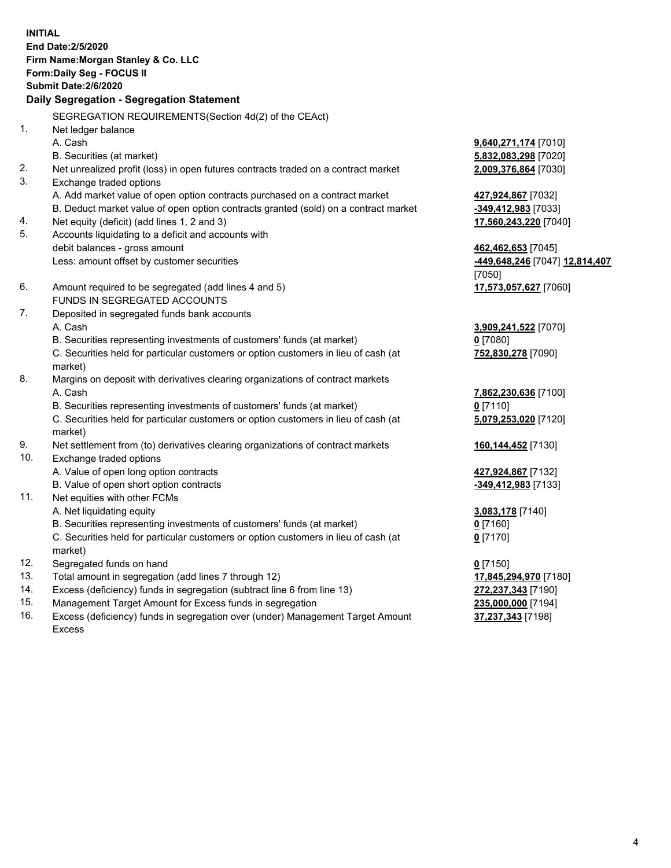| <b>INITIAL</b> | End Date: 2/5/2020<br>Firm Name: Morgan Stanley & Co. LLC<br>Form: Daily Seg - FOCUS II<br><b>Submit Date: 2/6/2020</b><br>Daily Segregation - Segregation Statement |                                |
|----------------|----------------------------------------------------------------------------------------------------------------------------------------------------------------------|--------------------------------|
|                |                                                                                                                                                                      |                                |
|                | SEGREGATION REQUIREMENTS(Section 4d(2) of the CEAct)                                                                                                                 |                                |
| 1.             | Net ledger balance                                                                                                                                                   |                                |
|                | A. Cash                                                                                                                                                              | 9,640,271,174 [7010]           |
|                | B. Securities (at market)                                                                                                                                            | 5,832,083,298 [7020]           |
| 2.             | Net unrealized profit (loss) in open futures contracts traded on a contract market                                                                                   | 2,009,376,864 [7030]           |
| 3.             | Exchange traded options                                                                                                                                              |                                |
|                | A. Add market value of open option contracts purchased on a contract market                                                                                          | 427,924,867 [7032]             |
|                | B. Deduct market value of open option contracts granted (sold) on a contract market                                                                                  | -349,412,983 [7033]            |
| 4.             | Net equity (deficit) (add lines 1, 2 and 3)                                                                                                                          | 17,560,243,220 [7040]          |
| 5.             | Accounts liquidating to a deficit and accounts with                                                                                                                  |                                |
|                | debit balances - gross amount                                                                                                                                        | 462,462,653 [7045]             |
|                | Less: amount offset by customer securities                                                                                                                           | -449,648,246 [7047] 12,814,407 |
|                |                                                                                                                                                                      | [7050]                         |
| 6.             | Amount required to be segregated (add lines 4 and 5)                                                                                                                 | 17,573,057,627 [7060]          |
| 7.             | FUNDS IN SEGREGATED ACCOUNTS                                                                                                                                         |                                |
|                | Deposited in segregated funds bank accounts<br>A. Cash                                                                                                               |                                |
|                |                                                                                                                                                                      | 3,909,241,522 [7070]           |
|                | B. Securities representing investments of customers' funds (at market)                                                                                               | $0$ [7080]                     |
|                | C. Securities held for particular customers or option customers in lieu of cash (at<br>market)                                                                       | 752,830,278 [7090]             |
| 8.             | Margins on deposit with derivatives clearing organizations of contract markets                                                                                       |                                |
|                | A. Cash                                                                                                                                                              | 7,862,230,636 [7100]           |
|                | B. Securities representing investments of customers' funds (at market)                                                                                               | $0$ [7110]                     |
|                | C. Securities held for particular customers or option customers in lieu of cash (at                                                                                  | 5,079,253,020 [7120]           |
|                | market)                                                                                                                                                              |                                |
| 9.             | Net settlement from (to) derivatives clearing organizations of contract markets                                                                                      | 160,144,452 [7130]             |
| 10.            | Exchange traded options                                                                                                                                              |                                |
|                | A. Value of open long option contracts                                                                                                                               | 427,924,867 [7132]             |
|                | B. Value of open short option contracts                                                                                                                              | -349,412,983 [7133]            |
| 11.            | Net equities with other FCMs                                                                                                                                         |                                |
|                | A. Net liquidating equity                                                                                                                                            | 3,083,178 [7140]               |
|                | B. Securities representing investments of customers' funds (at market)                                                                                               | $0$ [7160]                     |
|                | C. Securities held for particular customers or option customers in lieu of cash (at                                                                                  | $0$ [7170]                     |
|                | market)                                                                                                                                                              |                                |
| 12.            | Segregated funds on hand                                                                                                                                             | $0$ [7150]                     |
| 13.            | Total amount in segregation (add lines 7 through 12)                                                                                                                 | 17,845,294,970 [7180]          |
| 14.            | Excess (deficiency) funds in segregation (subtract line 6 from line 13)                                                                                              | 272,237,343 [7190]             |
|                |                                                                                                                                                                      |                                |

15. Management Target Amount for Excess funds in segregation<br>16. Excess (deficiency) funds in segregation over (under) Management Target Amount **237,237,343** [7198] Excess (deficiency) funds in segregation over (under) Management Target Amount Excess

**37,237,343** [7198]